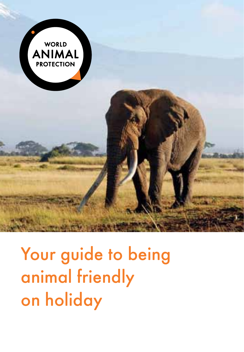

Your guide to being animal friendly on holiday animal friendly on holiday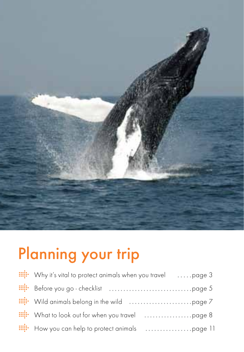

# Planning your trip

| Why it's vital to protect animals when you travel page 3 |
|----------------------------------------------------------|
|                                                          |
|                                                          |
|                                                          |
|                                                          |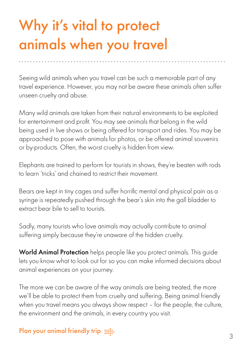### Why it's vital to protect animals when you travel

Seeing wild animals when you travel can be such a memorable part of any travel experience. However, you may not be aware these animals often suffer unseen cruelty and abuse.

Many wild animals are taken from their natural environments to be exploited for entertainment and profit. You may see animals that belong in the wild being used in live shows or being offered for transport and rides. You may be approached to pose with animals for photos, or be offered animal souvenirs or by-products. Often, the worst cruelty is hidden from view.

Elephants are trained to perform for tourists in shows, they're beaten with rods to learn 'tricks' and chained to restrict their movement.

Bears are kept in tiny cages and suffer horrific mental and physical pain as a syringe is repeatedly pushed through the bear's skin into the gall bladder to extract bear bile to sell to tourists.

Sadly, many tourists who love animals may actually contribute to animal suffering simply because they're unaware of the hidden cruelty.

World Animal Protection helps people like you protect animals. This guide lets you know what to look out for so you can make informed decisions about animal experiences on your journey.

The more we can be aware of the way animals are being treated, the more we'll be able to protect them from cruelty and suffering. Being animal friendly when you travel means you always show respect – for the people, the culture, the environment and the animals, in every country you visit.

### Plan your animal friendly trip init.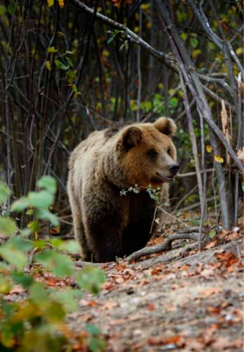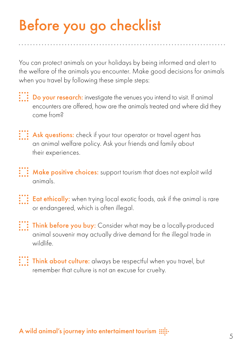## Before you go checklist

You can protect animals on your holidays by being informed and alert to the welfare of the animals you encounter. Make good decisions for animals when you travel by following these simple steps:

- Do your research: investigate the venues you intend to visit. If animal encounters are offered, how are the animals treated and where did they come from?
- : : : Ask questions: check if your tour operator or travel agent has an animal welfare policy. Ask your friends and family about their experiences.
- : :: Make positive choices: support tourism that does not exploit wild animals.
- Eat ethically: when trying local exotic foods, ask if the animal is rare or endangered, which is often illegal.
- Think before you buy: Consider what may be a locally-produced animal souvenir may actually drive demand for the illegal trade in wildlife.
- Think about culture: always be respectful when you travel, but remember that culture is not an excuse for cruelty.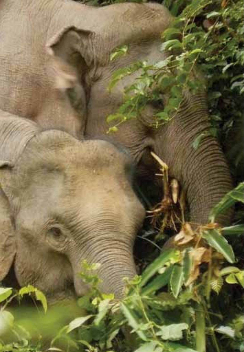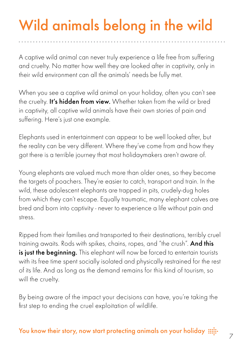## Wild animals belong in the wild

A captive wild animal can never truly experience a life free from suffering and cruelty. No matter how well they are looked after in captivity, only in their wild environment can all the animals' needs be fully met.

When you see a captive wild animal on your holiday, often you can't see the cruelty. It's hidden from view. Whether taken from the wild or bred in captivity, all captive wild animals have their own stories of pain and suffering. Here's just one example.

Elephants used in entertainment can appear to be well looked after, but the reality can be very different. Where they've come from and how they got there is a terrible journey that most holidaymakers aren't aware of.

Young elephants are valued much more than older ones, so they become the targets of poachers. They're easier to catch, transport and train. In the wild, these adolescent elephants are trapped in pits, crudely-dug holes from which they can't escape. Equally traumatic, many elephant calves are bred and born into captivity - never to experience a life without pain and stress.

Ripped from their families and transported to their destinations, terribly cruel training awaits. Rods with spikes, chains, ropes, and "the crush". And this is just the beginning. This elephant will now be forced to entertain tourists with its free time spent socially isolated and physically restrained for the rest of its life. And as long as the demand remains for this kind of tourism, so will the cruelty.

By being aware of the impact your decisions can have, you're taking the first step to ending the cruel exploitation of wildlife.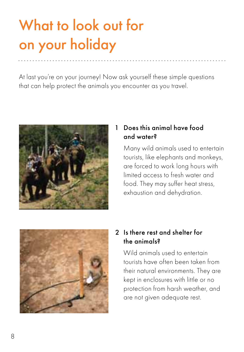# What to look out for<br>on your holiday on your holiday

At last you're on your journey! Now ask yourself these simple questions that can help protect the animals you encounter as you travel.



### 1 Does this animal have food and water?

Many wild animals used to entertain los elefantes y los monos, se ven tourists, like elephants and monkeys, tourists, like elephants and monkeys, tourists, like elephants and monkeys, hoursis, the elephonis and money. limited access to fresh water and food. They may suffer heat stress, exhaustion and dehydration. exhaustion and dehydration. exhaustion and dehydration.



### 2 Is there rest and shelter for animales? the animals? the animals? the animals?

Wild animals used to entertain Wild animals used to entertain<br>tourists have often been taken from extraídos de sus ambientes naturales. Se les mantiene en encierros con poca their natural environments. They are their natural environments. They are their natural environments. They are kept in enclosures with little or no protection from harsh weather, and<br>are not given adequate rest. are not given adequate rest.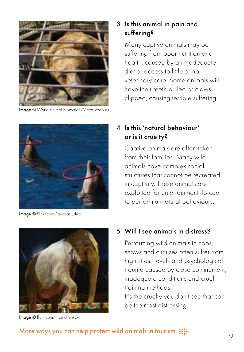

Image © World Animal Protection/Victor Watkins



Image © Flickr.com/cesarastudillo



Image © flickr.com/mamchenkov

#### 3 Is this animal in pain and suffering?

Many captive animals may be suffering from poor nutrition and saliening nom poor numion and<br>health, caused by an inadequate diet or access to little or no veterinary care. Some animals will have their teeth pulled or claws have their teeth pulled or claws<br>clipped, causing terrible suffering. **Solution 31 Solution 19 Solution**<br> **Solution**<br> **Solution**<br> **Solution**<br> **Solution**<br> **Solution**<br> **Solution**<br> **Solution**<br> **Solution**<br> **Solution**<br> **Solution**<br> **Solution**<br> **Solution**<br> **Solution**<br> **Colution**<br> **Colution**<br> **Colut** suffering from health, caused by an inadequate diet or access to little or no

#### 4 Is this 'natural behaviour' or is it cruelty?

Captive animals are often taken captivos summares sus creativants.<br>From their families. Many wild Captive animals are often taken<br>from their families. Many wild<br>animals have complex social structures that cannot be recreated in captivity. These animals are in captivity. These animals are<br>exploited for entertainment, forced to perform unnatural behaviours.

#### 5 Will I see animals in distress?

Performing wild animals in zoos,<br>shows and circuses often suffer from shows and circuses often suffer from shows and enebbes onen sonen nom trauma caused by close confinement, inadequate conditions and cruel training methods. It's the cruelty of the cruel trauma caused by close confinement, inadequate conditions and cruel training methods.

It's the cruelty you don't see that can be the most distressing.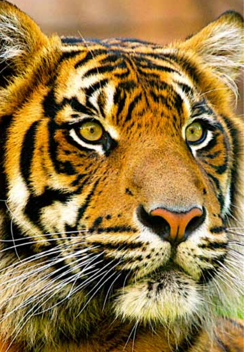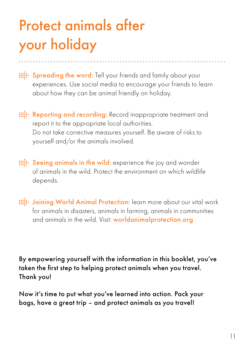# Protect animals after your holiday

**Spreading the word:** Tell your friends and family about your

- experiences. Use social media to encourage your friends to learn about how they can be animal friendly on holiday.
- :::::: Reporting and recording: Record inappropriate treatment and report it to the appropriate local authorities. Do not take corrective measures yourself. Be aware of risks to yourself and/or the animals involved.
- ::::::- Seeing animals in the wild: experience the joy and wonder of animals in the wild. Protect the environment on which wildlife depends.
- **Hillis** Joining World Animal Protection: learn more about our vital work for animals in disasters, animals in farming, animals in communities and animals in the wild. Visit: worldanimalprotection.org

By empowering yourself with the information in this booklet, you've taken the first step to helping protect animals when you travel. Thank you!

Now it's time to put what you've learned into action. Pack your bags, have a great trip – and protect animals as you travel!